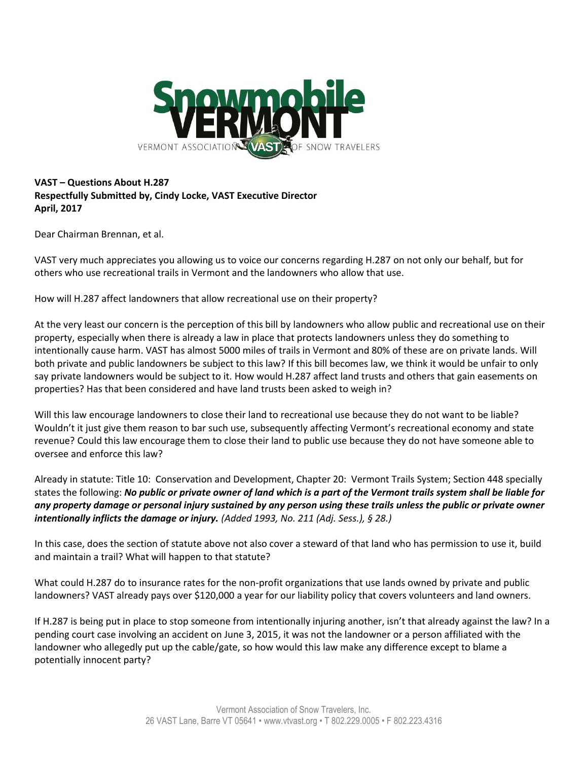

## **VAST – Questions About H.287 Respectfully Submitted by, Cindy Locke, VAST Executive Director April, 2017**

Dear Chairman Brennan, et al.

VAST very much appreciates you allowing us to voice our concerns regarding H.287 on not only our behalf, but for others who use recreational trails in Vermont and the landowners who allow that use.

How will H.287 affect landowners that allow recreational use on their property?

At the very least our concern is the perception of this bill by landowners who allow public and recreational use on their property, especially when there is already a law in place that protects landowners unless they do something to intentionally cause harm. VAST has almost 5000 miles of trails in Vermont and 80% of these are on private lands. Will both private and public landowners be subject to this law? If this bill becomes law, we think it would be unfair to only say private landowners would be subject to it. How would H.287 affect land trusts and others that gain easements on properties? Has that been considered and have land trusts been asked to weigh in?

Will this law encourage landowners to close their land to recreational use because they do not want to be liable? Wouldn't it just give them reason to bar such use, subsequently affecting Vermont's recreational economy and state revenue? Could this law encourage them to close their land to public use because they do not have someone able to oversee and enforce this law?

Already in statute: Title 10: Conservation and Development, Chapter 20: Vermont Trails System; Section 448 specially states the following: *No public or private owner of land which is a part of the Vermont trails system shall be liable for any property damage or personal injury sustained by any person using these trails unless the public or private owner intentionally inflicts the damage or injury. (Added 1993, No. 211 (Adj. Sess.), § 28.)*

In this case, does the section of statute above not also cover a steward of that land who has permission to use it, build and maintain a trail? What will happen to that statute?

What could H.287 do to insurance rates for the non-profit organizations that use lands owned by private and public landowners? VAST already pays over \$120,000 a year for our liability policy that covers volunteers and land owners.

If H.287 is being put in place to stop someone from intentionally injuring another, isn't that already against the law? In a pending court case involving an accident on June 3, 2015, it was not the landowner or a person affiliated with the landowner who allegedly put up the cable/gate, so how would this law make any difference except to blame a potentially innocent party?